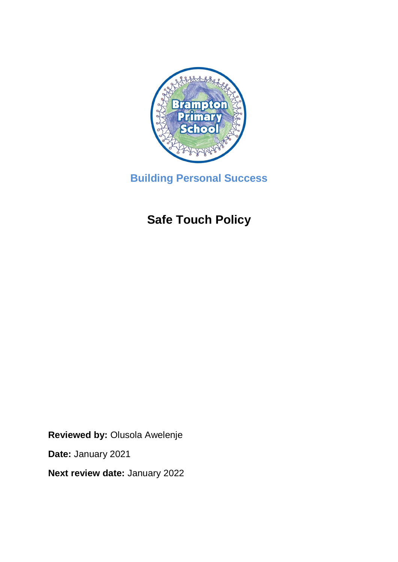

**Building Personal Success**

# **Safe Touch Policy**

**Reviewed by:** Olusola Awelenje

**Date:** January 2021

**Next review date:** January 2022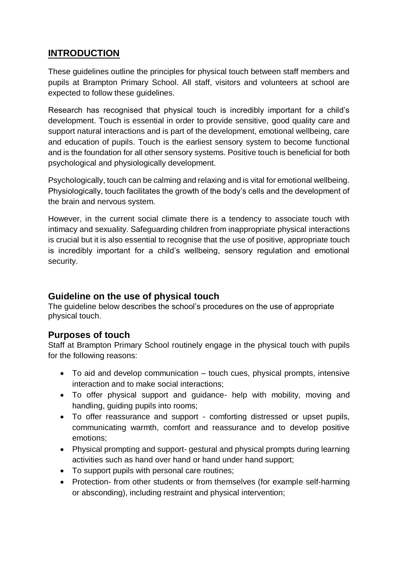# **INTRODUCTION**

These guidelines outline the principles for physical touch between staff members and pupils at Brampton Primary School. All staff, visitors and volunteers at school are expected to follow these guidelines.

Research has recognised that physical touch is incredibly important for a child's development. Touch is essential in order to provide sensitive, good quality care and support natural interactions and is part of the development, emotional wellbeing, care and education of pupils. Touch is the earliest sensory system to become functional and is the foundation for all other sensory systems. Positive touch is beneficial for both psychological and physiologically development.

Psychologically, touch can be calming and relaxing and is vital for emotional wellbeing. Physiologically, touch facilitates the growth of the body's cells and the development of the brain and nervous system.

However, in the current social climate there is a tendency to associate touch with intimacy and sexuality. Safeguarding children from inappropriate physical interactions is crucial but it is also essential to recognise that the use of positive, appropriate touch is incredibly important for a child's wellbeing, sensory regulation and emotional security.

# **Guideline on the use of physical touch**

The guideline below describes the school's procedures on the use of appropriate physical touch.

# **Purposes of touch**

Staff at Brampton Primary School routinely engage in the physical touch with pupils for the following reasons:

- To aid and develop communication touch cues, physical prompts, intensive interaction and to make social interactions;
- To offer physical support and guidance- help with mobility, moving and handling, guiding pupils into rooms;
- To offer reassurance and support comforting distressed or upset pupils, communicating warmth, comfort and reassurance and to develop positive emotions;
- Physical prompting and support- gestural and physical prompts during learning activities such as hand over hand or hand under hand support;
- To support pupils with personal care routines;
- Protection- from other students or from themselves (for example self-harming or absconding), including restraint and physical intervention;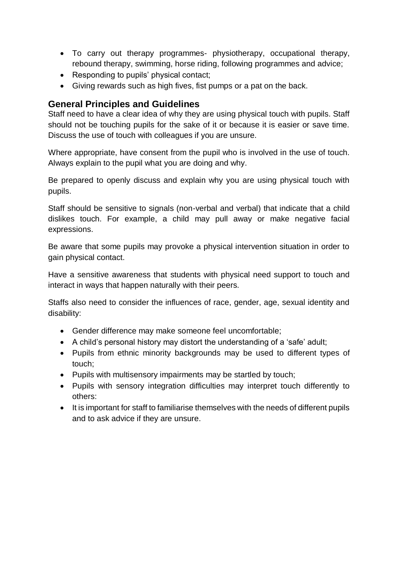- To carry out therapy programmes- physiotherapy, occupational therapy, rebound therapy, swimming, horse riding, following programmes and advice;
- Responding to pupils' physical contact;
- Giving rewards such as high fives, fist pumps or a pat on the back.

## **General Principles and Guidelines**

Staff need to have a clear idea of why they are using physical touch with pupils. Staff should not be touching pupils for the sake of it or because it is easier or save time. Discuss the use of touch with colleagues if you are unsure.

Where appropriate, have consent from the pupil who is involved in the use of touch. Always explain to the pupil what you are doing and why.

Be prepared to openly discuss and explain why you are using physical touch with pupils.

Staff should be sensitive to signals (non-verbal and verbal) that indicate that a child dislikes touch. For example, a child may pull away or make negative facial expressions.

Be aware that some pupils may provoke a physical intervention situation in order to gain physical contact.

Have a sensitive awareness that students with physical need support to touch and interact in ways that happen naturally with their peers.

Staffs also need to consider the influences of race, gender, age, sexual identity and disability:

- Gender difference may make someone feel uncomfortable;
- A child's personal history may distort the understanding of a 'safe' adult;
- Pupils from ethnic minority backgrounds may be used to different types of touch;
- Pupils with multisensory impairments may be startled by touch;
- Pupils with sensory integration difficulties may interpret touch differently to others:
- It is important for staff to familiarise themselves with the needs of different pupils and to ask advice if they are unsure.